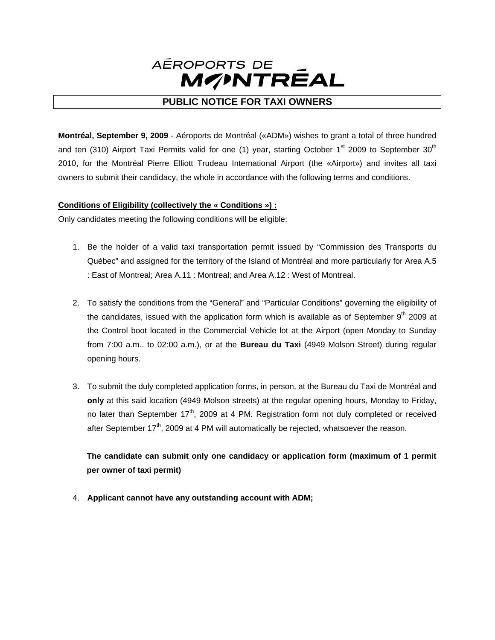

# **PUBLIC NOTICE FOR TAXI OWNERS**

**Montréal, September 9, 2009** - Aéroports de Montréal («ADM») wishes to grant a total of three hundred and ten (310) Airport Taxi Permits valid for one (1) year, starting October  $1<sup>st</sup>$  2009 to September 30<sup>th</sup> 2010, for the Montréal Pierre Elliott Trudeau International Airport (the «Airport») and invites all taxi owners to submit their candidacy, the whole in accordance with the following terms and conditions.

# **Conditions of Eligibility (collectively the « Conditions ») :**

Only candidates meeting the following conditions will be eligible:

- 1. Be the holder of a valid taxi transportation permit issued by "Commission des Transports du Québec" and assigned for the territory of the Island of Montréal and more particularly for Area A.5 : East of Montreal; Area A.11 : Montreal; and Area A.12 : West of Montreal.
- 2. To satisfy the conditions from the "General" and "Particular Conditions" governing the eligibility of the candidates, issued with the application form which is available as of September  $9<sup>th</sup>$  2009 at the Control boot located in the Commercial Vehicle lot at the Airport (open Monday to Sunday from 7:00 a.m.. to 02:00 a.m.), or at the **Bureau du Taxi** (4949 Molson Street) during regular opening hours.
- 3. To submit the duly completed application forms, in person, at the Bureau du Taxi de Montréal and **only** at this said location (4949 Molson streets) at the regular opening hours, Monday to Friday, no later than September  $17<sup>th</sup>$ , 2009 at 4 PM. Registration form not duly completed or received after September  $17<sup>th</sup>$ , 2009 at 4 PM will automatically be rejected, whatsoever the reason.

**The candidate can submit only one candidacy or application form (maximum of 1 permit per owner of taxi permit)**

4. **Applicant cannot have any outstanding account with ADM;**